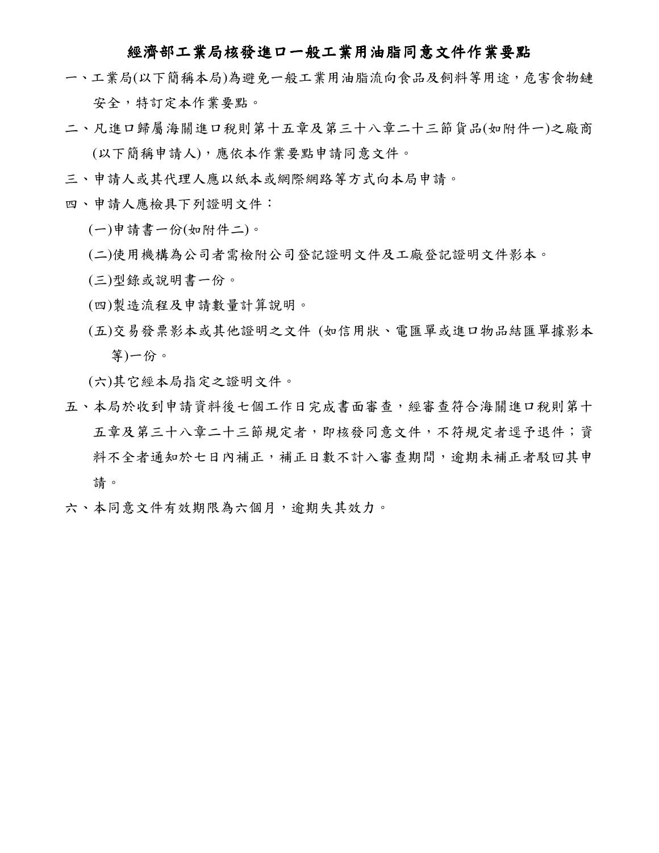## 經濟部工業局核發進口一般工業用油脂同意文件作業要點

- 一、工業局(以下簡稱本局)為避免一般工業用油脂流向食品及飼料等用途,危害食物鏈 安全,特訂定本作業要點。
- 二、凡進口歸屬海關進口稅則第十五章及第三十八章二十三節貨品(如附件一)之廠商 (以下簡稱申請人),應依本作業要點申請同意文件。
- 三、申請人或其代理人應以紙本或網際網路等方式向本局申請。
- 四、申請人應檢具下列證明文件:
	- (一)申請書一份(如附件二)。
	- (二)使用機構為公司者需檢附公司登記證明文件及工廠登記證明文件影本。
	- (三)型錄或說明書一份。
	- (四)製造流程及申請數量計算說明。
	- (五)交易發票影本或其他證明之文件 (如信用狀、電匯單或進口物品結匯單據影本 等)一份。

(六)其它經本局指定之證明文件。

- 五、本局於收到申請資料後七個工作日完成書面審查,經審查符合海關進口稅則第十 五章及第三十八章二十三節規定者,即核發同意文件,不符規定者逕予退件;資 料不全者通知於七日內補正,補正日數不計入審查期間,逾期未補正者駁回其申 請。
- 六、本同意文件有效期限為六個月,逾期失其效力。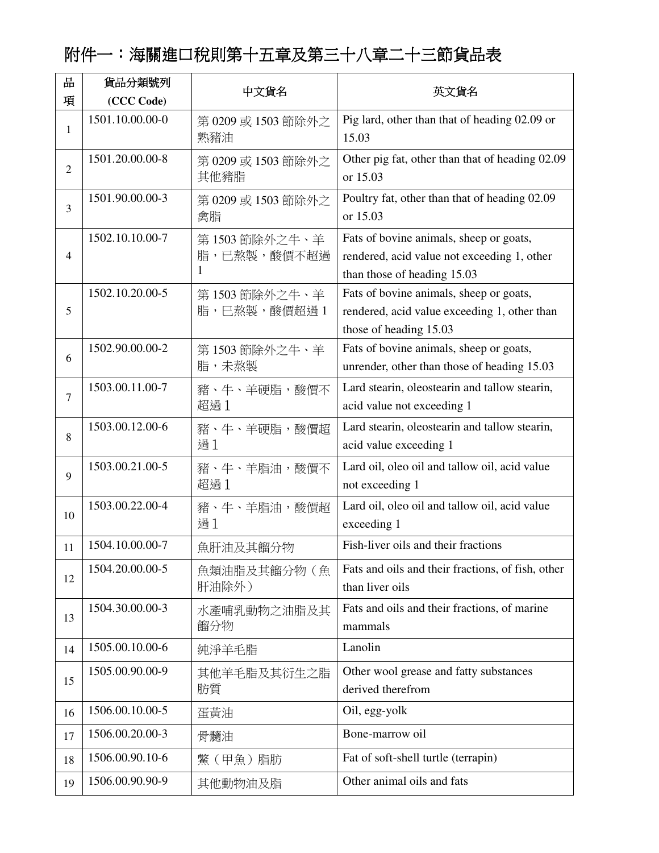## 附件一:海關進口稅則第十五章及第三十八章二十三節貨品表

| 品              | 貨品分類號列          | 中文貨名                              | 英文貨名                                                                                                                  |
|----------------|-----------------|-----------------------------------|-----------------------------------------------------------------------------------------------------------------------|
| 項              | (CCC Code)      |                                   |                                                                                                                       |
| $\mathbf{1}$   | 1501.10.00.00-0 | 第 0209 或 1503 節除外之<br>熟豬油         | Pig lard, other than that of heading 02.09 or<br>15.03                                                                |
| $\overline{2}$ | 1501.20.00.00-8 | 第 0209 或 1503 節除外之<br>其他豬脂        | Other pig fat, other than that of heading 02.09<br>or 15.03                                                           |
| 3              | 1501.90.00.00-3 | 第 0209 或 1503 節除外之<br>禽脂          | Poultry fat, other than that of heading 02.09<br>or 15.03                                                             |
| $\overline{4}$ | 1502.10.10.00-7 | 第1503 節除外之牛、羊<br>脂,已熬製,酸價不超過<br>1 | Fats of bovine animals, sheep or goats,<br>rendered, acid value not exceeding 1, other<br>than those of heading 15.03 |
| 5              | 1502.10.20.00-5 | 第1503 節除外之牛、羊<br>脂,已熬製,酸價超過1      | Fats of bovine animals, sheep or goats,<br>rendered, acid value exceeding 1, other than<br>those of heading 15.03     |
| 6              | 1502.90.00.00-2 | 第1503 節除外之牛、羊<br>脂,未熬製            | Fats of bovine animals, sheep or goats,<br>unrender, other than those of heading 15.03                                |
| $\overline{7}$ | 1503.00.11.00-7 | 豬、牛、羊硬脂,酸價不<br>超過1                | Lard stearin, oleostearin and tallow stearin,<br>acid value not exceeding 1                                           |
| 8              | 1503.00.12.00-6 | 豬、牛、羊硬脂,酸價超<br>過1                 | Lard stearin, oleostearin and tallow stearin,<br>acid value exceeding 1                                               |
| 9              | 1503.00.21.00-5 | 豬、牛、羊脂油,酸價不<br>超過1                | Lard oil, oleo oil and tallow oil, acid value<br>not exceeding 1                                                      |
| 10             | 1503.00.22.00-4 | 豬、牛、羊脂油,酸價超<br>過1                 | Lard oil, oleo oil and tallow oil, acid value<br>exceeding 1                                                          |
| 11             | 1504.10.00.00-7 | 魚肝油及其餾分物                          | Fish-liver oils and their fractions                                                                                   |
| 12             | 1504.20.00.00-5 | 魚類油脂及其餾分物(魚<br>肝油除外)              | Fats and oils and their fractions, of fish, other<br>than liver oils                                                  |
| 13             | 1504.30.00.00-3 | 水產哺乳動物之油脂及其<br>餾分物                | Fats and oils and their fractions, of marine<br>mammals                                                               |
| 14             | 1505.00.10.00-6 | 純淨羊毛脂                             | Lanolin                                                                                                               |
| 15             | 1505.00.90.00-9 | 其他羊毛脂及其衍生之脂<br>肪質                 | Other wool grease and fatty substances<br>derived therefrom                                                           |
| 16             | 1506.00.10.00-5 | 蛋黃油                               | Oil, egg-yolk                                                                                                         |
| 17             | 1506.00.20.00-3 | 骨髓油                               | Bone-marrow oil                                                                                                       |
| 18             | 1506.00.90.10-6 | 鱉 (甲魚) 脂肪                         | Fat of soft-shell turtle (terrapin)                                                                                   |
| 19             | 1506.00.90.90-9 | 其他動物油及脂                           | Other animal oils and fats                                                                                            |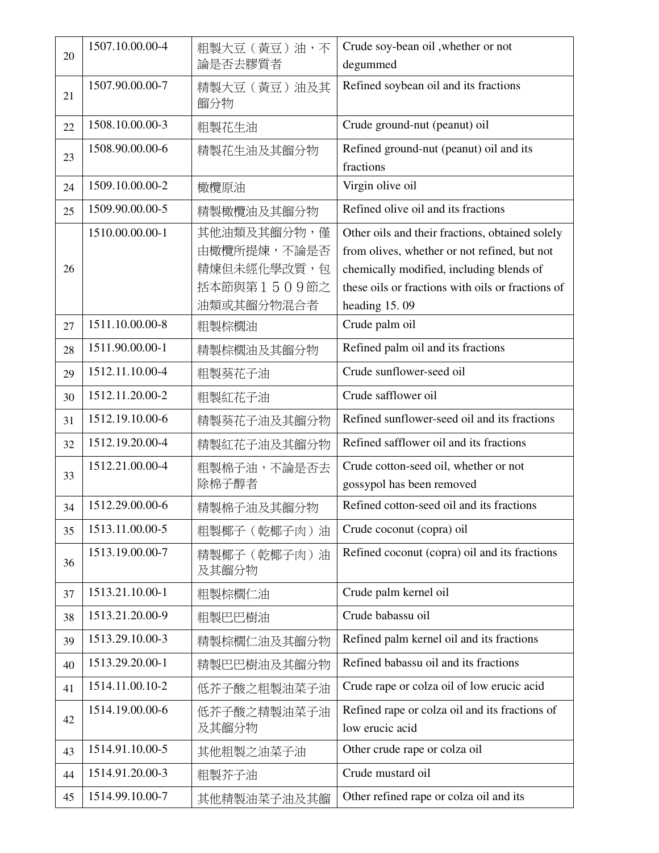| 20 | 1507.10.00.00-4 | 粗製大豆 (黃豆)油,不<br>論是否去膠質者                                                | Crude soy-bean oil, whether or not<br>degummed                                                                                                                                                                    |
|----|-----------------|------------------------------------------------------------------------|-------------------------------------------------------------------------------------------------------------------------------------------------------------------------------------------------------------------|
| 21 | 1507.90.00.00-7 | 精製大豆 (黃豆)油及其<br>餾分物                                                    | Refined soybean oil and its fractions                                                                                                                                                                             |
| 22 | 1508.10.00.00-3 | 粗製花生油                                                                  | Crude ground-nut (peanut) oil                                                                                                                                                                                     |
| 23 | 1508.90.00.00-6 | 精製花生油及其餾分物                                                             | Refined ground-nut (peanut) oil and its<br>fractions                                                                                                                                                              |
| 24 | 1509.10.00.00-2 | 橄欖原油                                                                   | Virgin olive oil                                                                                                                                                                                                  |
| 25 | 1509.90.00.00-5 | 精製橄欖油及其餾分物                                                             | Refined olive oil and its fractions                                                                                                                                                                               |
| 26 | 1510.00.00.00-1 | 其他油類及其餾分物,僅<br>由橄欖所提煉,不論是否<br>精煉但未經化學改質,包<br>括本節與第1509節之<br>油類或其餾分物混合者 | Other oils and their fractions, obtained solely<br>from olives, whether or not refined, but not<br>chemically modified, including blends of<br>these oils or fractions with oils or fractions of<br>heading 15.09 |
| 27 | 1511.10.00.00-8 | 粗製棕櫚油                                                                  | Crude palm oil                                                                                                                                                                                                    |
| 28 | 1511.90.00.00-1 | 精製棕櫚油及其餾分物                                                             | Refined palm oil and its fractions                                                                                                                                                                                |
| 29 | 1512.11.10.00-4 | 粗製葵花子油                                                                 | Crude sunflower-seed oil                                                                                                                                                                                          |
| 30 | 1512.11.20.00-2 | 粗製紅花子油                                                                 | Crude safflower oil                                                                                                                                                                                               |
| 31 | 1512.19.10.00-6 | 精製葵花子油及其餾分物                                                            | Refined sunflower-seed oil and its fractions                                                                                                                                                                      |
| 32 | 1512.19.20.00-4 | 精製紅花子油及其餾分物                                                            | Refined safflower oil and its fractions                                                                                                                                                                           |
| 33 | 1512.21.00.00-4 | 粗製棉子油,不論是否去<br>除棉子醇者                                                   | Crude cotton-seed oil, whether or not<br>gossypol has been removed                                                                                                                                                |
| 34 | 1512.29.00.00-6 | 精製棉子油及其餾分物                                                             | Refined cotton-seed oil and its fractions                                                                                                                                                                         |
| 35 | 1513.11.00.00-5 | 粗製椰子 (乾椰子肉)油                                                           | Crude coconut (copra) oil                                                                                                                                                                                         |
| 36 | 1513.19.00.00-7 | 精製椰子 (乾椰子肉)油<br>及其餾分物                                                  | Refined coconut (copra) oil and its fractions                                                                                                                                                                     |
| 37 | 1513.21.10.00-1 | 粗製棕櫚仁油                                                                 | Crude palm kernel oil                                                                                                                                                                                             |
| 38 | 1513.21.20.00-9 | 粗製巴巴樹油                                                                 | Crude babassu oil                                                                                                                                                                                                 |
| 39 | 1513.29.10.00-3 | 精製棕櫚仁油及其餾分物                                                            | Refined palm kernel oil and its fractions                                                                                                                                                                         |
| 40 | 1513.29.20.00-1 | 精製巴巴樹油及其餾分物                                                            | Refined babassu oil and its fractions                                                                                                                                                                             |
| 41 | 1514.11.00.10-2 | 低芥子酸之粗製油菜子油                                                            | Crude rape or colza oil of low erucic acid                                                                                                                                                                        |
| 42 | 1514.19.00.00-6 | 低芥子酸之精製油菜子油<br>及其餾分物                                                   | Refined rape or colza oil and its fractions of<br>low erucic acid                                                                                                                                                 |
| 43 | 1514.91.10.00-5 | 其他粗製之油菜子油                                                              | Other crude rape or colza oil                                                                                                                                                                                     |
| 44 | 1514.91.20.00-3 | 粗製芥子油                                                                  | Crude mustard oil                                                                                                                                                                                                 |
| 45 | 1514.99.10.00-7 | 其他精製油菜子油及其餾                                                            | Other refined rape or colza oil and its                                                                                                                                                                           |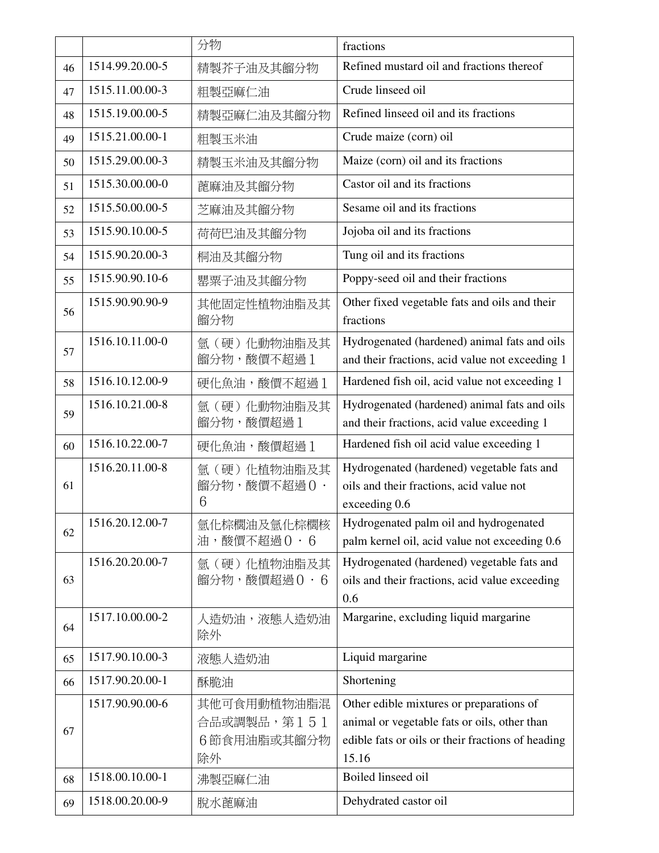|    |                 | 分物                       | fractions                                                                                   |
|----|-----------------|--------------------------|---------------------------------------------------------------------------------------------|
| 46 | 1514.99.20.00-5 | 精製芥子油及其餾分物               | Refined mustard oil and fractions thereof                                                   |
| 47 | 1515.11.00.00-3 | 粗製亞麻仁油                   | Crude linseed oil                                                                           |
| 48 | 1515.19.00.00-5 | 精製亞麻仁油及其餾分物              | Refined linseed oil and its fractions                                                       |
| 49 | 1515.21.00.00-1 | 粗製玉米油                    | Crude maize (corn) oil                                                                      |
| 50 | 1515.29.00.00-3 | 精製玉米油及其餾分物               | Maize (corn) oil and its fractions                                                          |
| 51 | 1515.30.00.00-0 | 蓖麻油及其餾分物                 | Castor oil and its fractions                                                                |
| 52 | 1515.50.00.00-5 | 芝麻油及其餾分物                 | Sesame oil and its fractions                                                                |
| 53 | 1515.90.10.00-5 | 荷荷巴油及其餾分物                | Jojoba oil and its fractions                                                                |
| 54 | 1515.90.20.00-3 | 桐油及其餾分物                  | Tung oil and its fractions                                                                  |
| 55 | 1515.90.90.10-6 | 罌粟子油及其餾分物                | Poppy-seed oil and their fractions                                                          |
| 56 | 1515.90.90.90-9 | 其他固定性植物油脂及其              | Other fixed vegetable fats and oils and their                                               |
|    |                 | 餾分物                      | fractions                                                                                   |
| 57 | 1516.10.11.00-0 | 氫(硬)化動物油脂及其              | Hydrogenated (hardened) animal fats and oils                                                |
|    |                 | 餾分物,酸價不超過1               | and their fractions, acid value not exceeding 1                                             |
| 58 | 1516.10.12.00-9 | 硬化魚油,酸價不超過1              | Hardened fish oil, acid value not exceeding 1                                               |
| 59 | 1516.10.21.00-8 | 氫(硬)化動物油脂及其<br>餾分物,酸價超過1 | Hydrogenated (hardened) animal fats and oils<br>and their fractions, acid value exceeding 1 |
| 60 | 1516.10.22.00-7 | 硬化魚油,酸價超過1               | Hardened fish oil acid value exceeding 1                                                    |
|    | 1516.20.11.00-8 | 氫 (硬) 化植物油脂及其            | Hydrogenated (hardened) vegetable fats and                                                  |
| 61 |                 | 餾分物,酸價不超過O·              | oils and their fractions, acid value not                                                    |
|    |                 | 6                        | exceeding 0.6                                                                               |
| 62 | 1516.20.12.00-7 | 氫化棕櫚油及氫化棕櫚核              | Hydrogenated palm oil and hydrogenated                                                      |
|    |                 | 油,酸價不超過 0 · 6            | palm kernel oil, acid value not exceeding 0.6                                               |
|    | 1516.20.20.00-7 | 氫(硬)化植物油脂及其              | Hydrogenated (hardened) vegetable fats and                                                  |
| 63 |                 | 餾分物,酸價超過0·6              | oils and their fractions, acid value exceeding                                              |
|    | 1517.10.00.00-2 |                          | 0.6<br>Margarine, excluding liquid margarine                                                |
| 64 |                 | 人造奶油,液態人造奶油<br>除外        |                                                                                             |
| 65 | 1517.90.10.00-3 | 液態人造奶油                   | Liquid margarine                                                                            |
| 66 | 1517.90.20.00-1 | 酥脆油                      | Shortening                                                                                  |
|    | 1517.90.90.00-6 | 其他可食用動植物油脂混              | Other edible mixtures or preparations of                                                    |
| 67 |                 | 合品或調製品,第151              | animal or vegetable fats or oils, other than                                                |
|    |                 | 6節食用油脂或其餾分物              | edible fats or oils or their fractions of heading                                           |
|    |                 | 除外                       | 15.16                                                                                       |
| 68 | 1518.00.10.00-1 | 沸製亞麻仁油                   | Boiled linseed oil                                                                          |
| 69 | 1518.00.20.00-9 | 脫水蓖麻油                    | Dehydrated castor oil                                                                       |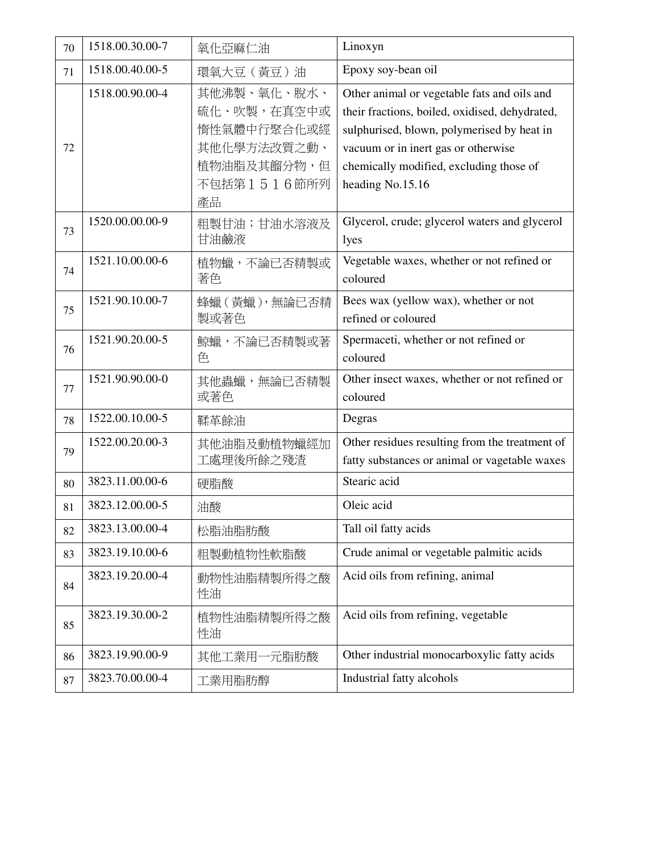| 70 | 1518.00.30.00-7 | 氧化亞麻仁油                                                                                       | Linoxyn                                                                                                                                                                                                                                           |
|----|-----------------|----------------------------------------------------------------------------------------------|---------------------------------------------------------------------------------------------------------------------------------------------------------------------------------------------------------------------------------------------------|
| 71 | 1518.00.40.00-5 | 環氧大豆 (黃豆)油                                                                                   | Epoxy soy-bean oil                                                                                                                                                                                                                                |
| 72 | 1518.00.90.00-4 | 其他沸製、氧化、脫水、<br>硫化、吹製,在真空中或<br>惰性氣體中行聚合化或經<br>其他化學方法改質之動、<br>植物油脂及其餾分物,但<br>不包括第1516節所列<br>產品 | Other animal or vegetable fats and oils and<br>their fractions, boiled, oxidised, dehydrated,<br>sulphurised, blown, polymerised by heat in<br>vacuum or in inert gas or otherwise<br>chemically modified, excluding those of<br>heading No.15.16 |
| 73 | 1520.00.00.00-9 | 粗製甘油;甘油水溶液及<br>甘油鹼液                                                                          | Glycerol, crude; glycerol waters and glycerol<br>lyes                                                                                                                                                                                             |
| 74 | 1521.10.00.00-6 | 植物蠟,不論已否精製或<br>著色                                                                            | Vegetable waxes, whether or not refined or<br>coloured                                                                                                                                                                                            |
| 75 | 1521.90.10.00-7 | 蜂蠟 (黃蠟),無論已否精<br>製或著色                                                                        | Bees wax (yellow wax), whether or not<br>refined or coloured                                                                                                                                                                                      |
| 76 | 1521.90.20.00-5 | 鯨蠟,不論已否精製或著<br>色                                                                             | Spermaceti, whether or not refined or<br>coloured                                                                                                                                                                                                 |
| 77 | 1521.90.90.00-0 | 其他蟲蠟,無論已否精製<br>或著色                                                                           | Other insect waxes, whether or not refined or<br>coloured                                                                                                                                                                                         |
| 78 | 1522.00.10.00-5 | 鞣革餘油                                                                                         | Degras                                                                                                                                                                                                                                            |
| 79 | 1522.00.20.00-3 | 其他油脂及動植物蠟經加<br>工處理後所餘之殘渣                                                                     | Other residues resulting from the treatment of<br>fatty substances or animal or vagetable waxes                                                                                                                                                   |
| 80 | 3823.11.00.00-6 | 硬脂酸                                                                                          | Stearic acid                                                                                                                                                                                                                                      |
| 81 | 3823.12.00.00-5 | 油酸                                                                                           | Oleic acid                                                                                                                                                                                                                                        |
| 82 | 3823.13.00.00-4 | 松脂油脂肪酸                                                                                       | Tall oil fatty acids                                                                                                                                                                                                                              |
| 83 | 3823.19.10.00-6 | 粗製動植物性軟脂酸                                                                                    | Crude animal or vegetable palmitic acids                                                                                                                                                                                                          |
| 84 | 3823.19.20.00-4 | 動物性油脂精製所得之酸<br>性油                                                                            | Acid oils from refining, animal                                                                                                                                                                                                                   |
| 85 | 3823.19.30.00-2 | 植物性油脂精製所得之酸<br>性油                                                                            | Acid oils from refining, vegetable                                                                                                                                                                                                                |
| 86 | 3823.19.90.00-9 | 其他工業用一元脂肪酸                                                                                   | Other industrial monocarboxylic fatty acids                                                                                                                                                                                                       |
| 87 | 3823.70.00.00-4 | 工業用脂肪醇                                                                                       | Industrial fatty alcohols                                                                                                                                                                                                                         |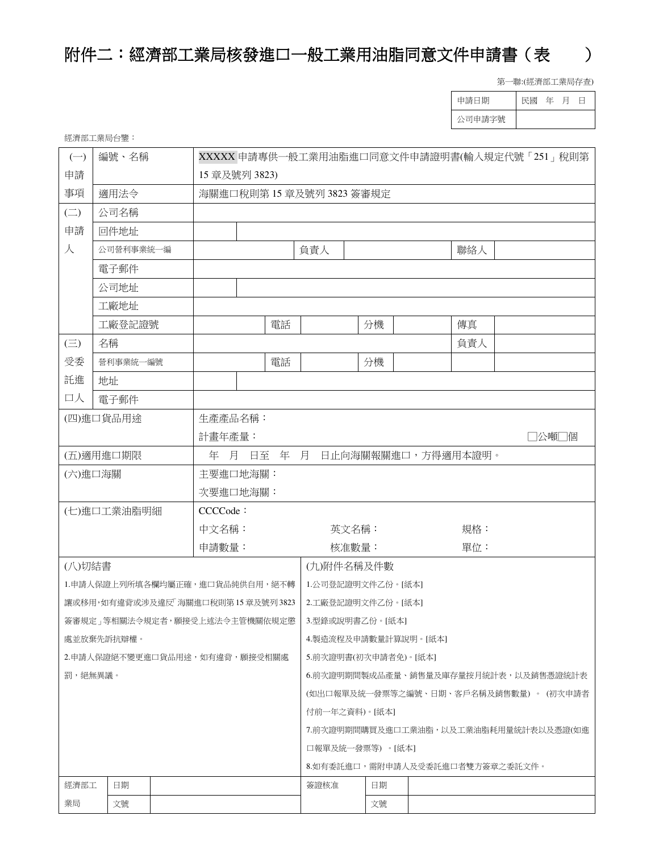## 附件二:經濟部工業局核發進口一般工業用油脂同意文件申請書(表

第一聯:(經濟部工業局存查)

| 申請日期   | 民國 | - 年 | 月 |  |
|--------|----|-----|---|--|
| 公司申請字號 |    |     |   |  |

| 經濟部工業局台鑒: |  |
|-----------|--|
|-----------|--|

| $(-)$                  | 編號、名稱                            |  | XXXXX 申請專供一般工業用油脂進口同意文件申請證明書(輸入規定代號「251」稅則第 |                       |    |                                        |                    |                                         |  |  |  |  |
|------------------------|----------------------------------|--|---------------------------------------------|-----------------------|----|----------------------------------------|--------------------|-----------------------------------------|--|--|--|--|
| 申請                     |                                  |  | 15 章及號列 3823)                               |                       |    |                                        |                    |                                         |  |  |  |  |
| 事項                     | 適用法令                             |  |                                             | 海關進口稅則第15章及號列3823簽審規定 |    |                                        |                    |                                         |  |  |  |  |
| $\left(\square\right)$ | 公司名稱                             |  |                                             |                       |    |                                        |                    |                                         |  |  |  |  |
| 申請                     | 回件地址                             |  |                                             |                       |    |                                        |                    |                                         |  |  |  |  |
| 人                      | 公司營利事業統一編                        |  |                                             |                       |    | 負責人                                    |                    | 聯絡人                                     |  |  |  |  |
|                        | 電子郵件                             |  |                                             |                       |    |                                        |                    |                                         |  |  |  |  |
|                        | 公司地址                             |  |                                             |                       |    |                                        |                    |                                         |  |  |  |  |
|                        | 工廠地址                             |  |                                             |                       |    |                                        |                    |                                         |  |  |  |  |
|                        | 工廠登記證號                           |  |                                             |                       | 電話 |                                        | 分機                 | 傳真                                      |  |  |  |  |
| $(\equiv)$             | 名稱                               |  |                                             |                       |    |                                        |                    | 負責人                                     |  |  |  |  |
| 受委                     | 營利事業統一編號                         |  |                                             |                       | 電話 |                                        | 分機                 |                                         |  |  |  |  |
| 託進                     | 地址                               |  |                                             |                       |    |                                        |                    |                                         |  |  |  |  |
| 口人                     | 電子郵件                             |  |                                             |                       |    |                                        |                    |                                         |  |  |  |  |
|                        | (四)進口貨品用途                        |  | 生產產品名稱:                                     |                       |    |                                        |                    |                                         |  |  |  |  |
|                        |                                  |  | 計畫年產量:<br>□公噸□個                             |                       |    |                                        |                    |                                         |  |  |  |  |
|                        | (五)適用進口期限<br>年 月 日至<br>年 月       |  |                                             |                       |    |                                        | 日止向海關報關進口,方得適用本證明。 |                                         |  |  |  |  |
| (六)進口海關                |                                  |  | 主要進口地海關:                                    |                       |    |                                        |                    |                                         |  |  |  |  |
|                        |                                  |  | 次要進口地海關:                                    |                       |    |                                        |                    |                                         |  |  |  |  |
|                        | (七)進口工業油脂明細                      |  | CCCCode:                                    |                       |    |                                        |                    |                                         |  |  |  |  |
|                        |                                  |  | 中文名稱:                                       |                       |    | 英文名稱:<br>規格:                           |                    |                                         |  |  |  |  |
|                        |                                  |  | 申請數量:                                       |                       |    | 核准數量:                                  |                    | 單位:                                     |  |  |  |  |
| (八)切結書                 |                                  |  |                                             |                       |    | (九)附件名稱及件數                             |                    |                                         |  |  |  |  |
|                        | 1.申請人保證上列所填各欄均屬正確,進口貨品純供自用,絕不轉   |  |                                             |                       |    | 1.公司登記證明文件乙份。[紙本]                      |                    |                                         |  |  |  |  |
|                        | 讓或移用,如有違背或涉及違反「海關進口稅則第15章及號列3823 |  |                                             |                       |    | 2.工廠登記證明文件乙份。[紙本]                      |                    |                                         |  |  |  |  |
|                        | 簽審規定   等相關法令規定者,願接受上述法令主管機關依規定懲  |  |                                             |                       |    | 3.型錄或說明書乙份。[紙本]                        |                    |                                         |  |  |  |  |
|                        | 處並放棄先訴抗辯權。                       |  |                                             |                       |    | 4.製造流程及申請數量計算說明。[紙本]                   |                    |                                         |  |  |  |  |
|                        | 2.申請人保證絕不變更進口貨品用途,如有違背,願接受相關處    |  |                                             |                       |    | 5.前次證明書(初次申請者免)。[紙本]                   |                    |                                         |  |  |  |  |
| 罰,絕無異議。                |                                  |  |                                             |                       |    | 6.前次證明期間製成品產量、銷售量及庫存量按月統計表,以及銷售憑證統計表   |                    |                                         |  |  |  |  |
|                        |                                  |  |                                             |                       |    | (如出口報單及統一發票等之編號、日期、客戶名稱及銷售數量) 。 (初次申請者 |                    |                                         |  |  |  |  |
|                        |                                  |  |                                             |                       |    | 付前一年之資料)。[紙本]                          |                    |                                         |  |  |  |  |
|                        |                                  |  |                                             |                       |    |                                        |                    | 7. 前次證明期間購買及進口工業油脂, 以及工業油脂耗用量統計表以及憑證(如進 |  |  |  |  |
|                        |                                  |  |                                             |                       |    | 口報單及統一發票等) 。[紙本]                       |                    |                                         |  |  |  |  |
|                        |                                  |  |                                             |                       |    |                                        |                    | 8.如有季託進口,需附申請人及受季託進口者雙方簽章之委託文件。         |  |  |  |  |
| 經濟部工                   | 日期                               |  |                                             |                       |    | 簽證核准                                   | 日期                 |                                         |  |  |  |  |
| 業局                     | 文號                               |  |                                             |                       |    |                                        | 文號                 |                                         |  |  |  |  |